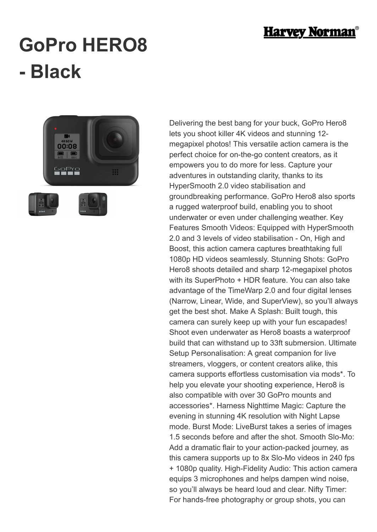

## **GoPro HERO8 - Black**



Delivering the best bang for your buck, GoPro Hero8 lets you shoot killer 4K videos and stunning 12 megapixel photos! This versatile action camera is the perfect choice for on-the-go content creators, as it empowers you to do more for less. Capture your adventures in outstanding clarity, thanks to its HyperSmooth 2.0 video stabilisation and groundbreaking performance. GoPro Hero8 also sports a rugged waterproof build, enabling you to shoot underwater or even under challenging weather. Key Features Smooth Videos: Equipped with HyperSmooth 2.0 and 3 levels of video stabilisation - On, High and Boost, this action camera captures breathtaking full 1080p HD videos seamlessly. Stunning Shots: GoPro Hero8 shoots detailed and sharp 12-megapixel photos with its SuperPhoto + HDR feature. You can also take advantage of the TimeWarp 2.0 and four digital lenses (Narrow, Linear, Wide, and SuperView), so you'll always get the best shot. Make A Splash: Built tough, this camera can surely keep up with your fun escapades! Shoot even underwater as Hero8 boasts a waterproof build that can withstand up to 33ft submersion. Ultimate Setup Personalisation: A great companion for live streamers, vloggers, or content creators alike, this camera supports effortless customisation via mods\*. To help you elevate your shooting experience, Hero8 is also compatible with over 30 GoPro mounts and accessories\*. Harness Nighttime Magic: Capture the evening in stunning 4K resolution with Night Lapse mode. Burst Mode: LiveBurst takes a series of images 1.5 seconds before and after the shot. Smooth Slo-Mo: Add a dramatic flair to your action-packed journey, as this camera supports up to 8x Slo-Mo videos in 240 fps + 1080p quality. High-Fidelity Audio: This action camera equips 3 microphones and helps dampen wind noise, so you'll always be heard loud and clear. Nifty Timer: For hands-free photography or group shots, you can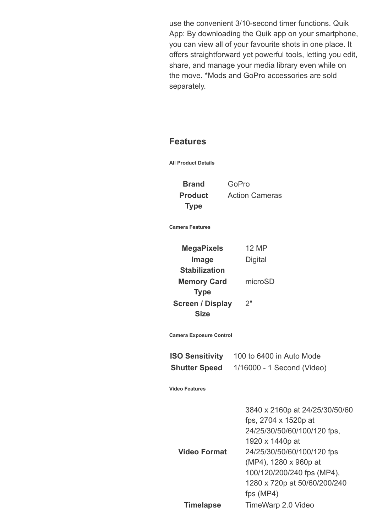use the convenient 3/10-second timer functions. Quik App: By downloading the Quik app on your smartphone, you can view all of your favourite shots in one place. It offers straightforward yet powerful tools, letting you edit, share, and manage your media library even while on the move. \*Mods and GoPro accessories are sold separately.

## **Features**

**All Product Details**

**Product Type**

**Brand** GoPro Action Cameras

**Camera Features**

**MegaPixels** 12 MP **Image Stabilization Digital Memory Card Type** microSD **Screen / Display Size** 2"

**Camera Exposure Control**

| <b>ISO Sensitivity</b> | 100 to 6400 in Auto Mode   |
|------------------------|----------------------------|
| <b>Shutter Speed</b>   | 1/16000 - 1 Second (Video) |

**Video Features**

|                     | 3840 x 2160p at 24/25/30/50/60 |
|---------------------|--------------------------------|
|                     | fps, 2704 x 1520p at           |
|                     | 24/25/30/50/60/100/120 fps,    |
|                     | 1920 x 1440p at                |
| <b>Video Format</b> | 24/25/30/50/60/100/120 fps     |
|                     | (MP4), 1280 x 960p at          |
|                     | 100/120/200/240 fps (MP4),     |
|                     | 1280 x 720p at 50/60/200/240   |
|                     | fps $(MP4)$                    |
| <b>Timelapse</b>    | TimeWarp 2.0 Video             |